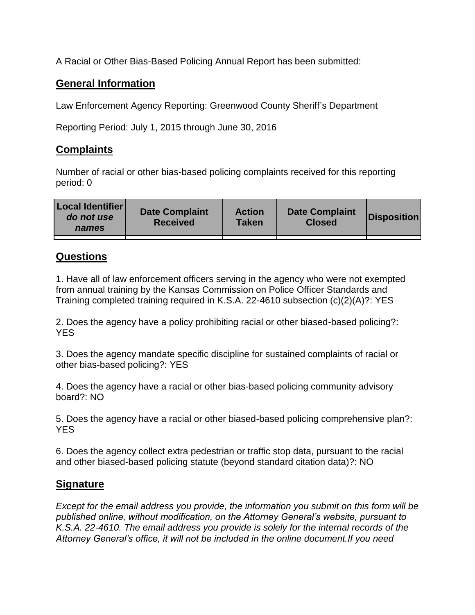A Racial or Other Bias-Based Policing Annual Report has been submitted:

## **General Information**

Law Enforcement Agency Reporting: Greenwood County Sheriff's Department

Reporting Period: July 1, 2015 through June 30, 2016

## **Complaints**

Number of racial or other bias-based policing complaints received for this reporting period: 0

| <b>Local Identifier</b><br>do not use<br>names | <b>Date Complaint</b><br><b>Received</b> | <b>Action</b><br><b>Taken</b> | <b>Date Complaint</b><br><b>Closed</b> | Disposition |
|------------------------------------------------|------------------------------------------|-------------------------------|----------------------------------------|-------------|
|                                                |                                          |                               |                                        |             |

## **Questions**

1. Have all of law enforcement officers serving in the agency who were not exempted from annual training by the Kansas Commission on Police Officer Standards and Training completed training required in K.S.A. 22-4610 subsection (c)(2)(A)?: YES

2. Does the agency have a policy prohibiting racial or other biased-based policing?: YES

3. Does the agency mandate specific discipline for sustained complaints of racial or other bias-based policing?: YES

4. Does the agency have a racial or other bias-based policing community advisory board?: NO

5. Does the agency have a racial or other biased-based policing comprehensive plan?: YES

6. Does the agency collect extra pedestrian or traffic stop data, pursuant to the racial and other biased-based policing statute (beyond standard citation data)?: NO

## **Signature**

*Except for the email address you provide, the information you submit on this form will be published online, without modification, on the Attorney General's website, pursuant to K.S.A. 22-4610. The email address you provide is solely for the internal records of the Attorney General's office, it will not be included in the online document.If you need*